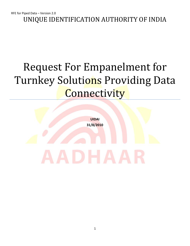UNIQUE IDENTIFICATION AUTHORITY OF INDIA

### Request For Empanelment for Turnkey Solutions Providing Data **Connectivity**

**UIDAI 31/8/2010**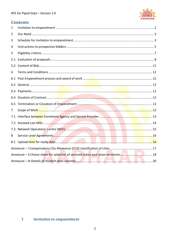

#### **Contents**

| $\mathbf{1}$   |  |
|----------------|--|
| 2              |  |
| 3              |  |
| 4              |  |
| 5              |  |
| 5.1            |  |
| 5.2            |  |
| 6              |  |
|                |  |
|                |  |
|                |  |
|                |  |
|                |  |
| $\overline{7}$ |  |
| 7.1            |  |
|                |  |
| 7.3            |  |
| 8              |  |
|                |  |
|                |  |
|                |  |
|                |  |

#### <span id="page-1-0"></span>**Invitation to empanelment**  $1 -$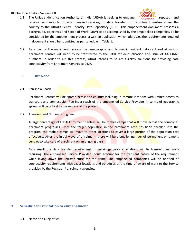#### RFE for Piped Data – Version 2.0



- 1.1 The Unique Identification Authority of India (UIDAI) is seeking to empanel **1.4 The Linear Property** reputed and reliable companies to provide managed services, for data transfer from enrolment centres across the country to the UIDAI's Central Identity Data Repository (CIDR). This empanelment document presents a background, objectives and Scope of Work (SoW) to be accomplished by the empanelled companies. To be considered for the empanelment process, a written application which addresses the requirements detailed in document should be submitted as per schedule in Table 1.
- 1.2 As a part of the enrolment process the demographic and biometric resident data captured at various enrolment centres will need to be transferred to the CIDR for de-duplication and issue of AADHAAR numbers. In order to aid this process, UIDAI intends to source turnkey solutions for providing data connectivity from Enrolment Centres to CIDR.

#### <span id="page-2-0"></span>**2 Our Need**

#### 2.1 Pan-India Reach

Enrolment Centres will be spread across the country including in remote locations with limited access to transport and connectivity, Pan-India reach of the empanelled Service Providers in terms of geographic spread will be critical to the success of the project.

2.2 Transient and Non recurring need

A large percentage of UIDAI Enrolment Centres will be mobile camps that will move across the country as enrolment progresses. Once the target population in the catchment area has been enrolled into the program, the mobile camps will move to other locations to cover a large portion of the population cost effectively. After the initial wave of enrolment, there will be a smaller number of permanent enrolment centres to take care of enrolment on an ongoing basis.

As a result the data transfer requirement in certain geographic locations will be transient and nonrecurring. The empanelled Service Provider should account for the transient nature of the requirement while laying down the infrastructure for the same. The empanelled companies will be notified of connectivity requirements with exact locations and schedules at the time of award of work to the Service provided by the Registrar / enrolment agencies.

#### <span id="page-2-1"></span>**3 Schedule for invitation to empanelment**

3.1 Name of issuing office: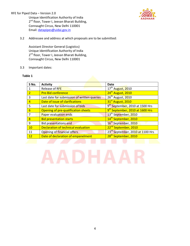RFE for Piped Data – Version 2.0

Unique Identification Authority of India 2<sup>nd</sup> floor, Tower I, Jeevan Bharati Building, Connaught Circus, New Delhi 110001 Email[: datapipes@uidai.gov.in](mailto:datapipes@uidai.gov.in)



#### 3.2 Addressee and address at which proposals are to be submitted:

Assistant Director General (Logistics) Unique Identification Authority of India 2<sup>nd</sup> floor, Tower I, Jeevan Bharati Building, Connaught Circus, New Delhi 110001

#### 3.3 Important dates:

#### **Table 1**

| S No.                   | <b>Activity</b>                             | Date                                         |
|-------------------------|---------------------------------------------|----------------------------------------------|
|                         | Release of RFE                              | 17 <sup>th</sup> August, 2010                |
| $\overline{2}$          | <b>Pre-Bid conference</b>                   | 24 <sup>th</sup> August, 2010                |
| 3                       | Last date for submission of written queries | 26 <sup>th</sup> August, 2010                |
| 4                       | Date of issue of clarifications             | 31 <sup>st</sup> August, 2010                |
| 5                       | Last date for submission of bids            | 9 <sup>th</sup> September, 2010 at 1500 Hrs  |
| 6                       | Opening of pre-qualification sheets         | 9 <sup>th</sup> September, 2010 at 1600 Hrs  |
| 7                       | Paper evaluation ends                       | 13 <sup>th</sup> September, 2010             |
| $\overline{\mathbf{R}}$ | <b>Bid presentation starts</b>              | 14 <sup>th</sup> September, 2010             |
| 9                       | <b>Bid presentations end</b>                | 16 <sup>th</sup> September, 2010             |
| 10                      | Declaration of technical evaluation         | 22 <sup>nd</sup> September, 2010             |
| 11                      | Opening of financial offers                 | 23 <sup>rd</sup> September, 2010 at 1100 Hrs |
| 12                      | Date of declaration of empanelment          | 28 <sup>th</sup> September, 2010             |

## AADHAAI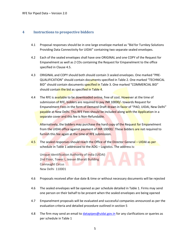#### <span id="page-4-0"></span>**4 Instructions to prospective bidders**

- 4.1 Proposal responses should be in one large envelope marked as "Bid for Turnkey Solutions Providing Data Connectivity for UIDAI" containing two separate sealed envelopes.
- 4.2 Each of the sealed envelopes shall have one ORIGINAL and one COPY of the Request for Empanelment as well as 2 CDs containing the Request for Empanelment to the office specified in Clause 4.5.
- 4.3 ORIGINAL and COPY should both should contain 3 sealed envelopes. One marked "PRE-QUALIFICATION" should contain documents specified in Table 2. One marked "TECHNICAL BID" should contain documents specified in Table 3. One marked "COMMERCIAL BID" should contain the bid as specified in Table 4.
- 4.4 The RFE is available to be downloaded online, free of cost. However at the time of submission of RFE, bidders are required to pay INR 10000/- towards Request for Empanelment Fees in the form of Demand Draft drawn in favor of "PAO, UIDAI, New Delhi" payable at New Delhi. This RFE Fees should be included along with the Application in a separate cover and this fee is Non-Refundable.

Alternatively, the bidders may purchase the hard copy of the Request for Empanelment from the UIDAI office against payment of INR 10000/. These bidders are not required to furnish this fee again at the time of RFE submission.

4.5 The sealed responses should reach the Office of the Director General – UIDAI as per schedule in Table 1 addressed to the ADG – Logistics. The address is:

Unique Identification Authority of India (UIDAI) 2nd Floor, Tower I, Jeevan Bharati Building Connaught Circus New Delhi 110001

- 4.6 Proposals received after due date & time or without necessary documents will be rejected
- 4.6 The sealed envelopes will be opened as per schedule detailed in Table 1. Firms may send one person on their behalf to be present when the sealed envelopes are being opened
- 4.7 Empanelment proposals will be evaluated and successful companies announced as per the evaluation criteria and detailed procedure outlined in section 5
- 4.8 The firm may send an email to *[datapipes@uidai.gov.in](mailto:datapipes@uidai.gov.in)* for any clarifications or queries as per schedule in Table 1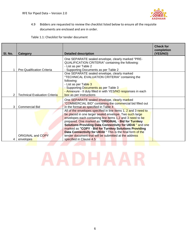

4.9 Bidders are requested to review the checklist listed below to ensure all the requisite documents are enclosed and are in order.

Table 1.1: Checklist for tender document

| SI. No. | Category                              | <b>Detailed description</b>                                                                                                                                                                                                                                                                                                                                                                                                                                                                                                    | <b>Check for</b><br>completion<br>(YES/NO) |
|---------|---------------------------------------|--------------------------------------------------------------------------------------------------------------------------------------------------------------------------------------------------------------------------------------------------------------------------------------------------------------------------------------------------------------------------------------------------------------------------------------------------------------------------------------------------------------------------------|--------------------------------------------|
|         | Pre-Qualification Criteria            | One SEPARATE sealed envelope, clearly marked "PRE-<br>QUALIFICATION CRITERIA" containing the following:<br>- List as per Table 2<br>- Supporting Documents as per Table 2                                                                                                                                                                                                                                                                                                                                                      |                                            |
|         | <b>Technical Evaluation Criteria</b>  | One SEPARATE sealed envelope, clearly marked<br>"TECHNICAL EVALUATION CRITERIA" containing the<br>following:<br>- List as per Table 3<br>- Supporting Documents as per Table 3<br>- Annexure - Il duly filled in with YES/NO responses in each                                                                                                                                                                                                                                                                                 |                                            |
| 3       | <b>Commercial Bid</b>                 | box as per instructions<br>One SEPARATE sealed envelope, clearly marked<br>"COMMERCIAL BID" containing the commercial bid filled out<br>in the format as specified in Table 4                                                                                                                                                                                                                                                                                                                                                  |                                            |
|         | <b>ORIGINAL and COPY</b><br>envelopes | All of the envelopes specified in line items 1, 2 and 3 need to<br>be placed in one larger sealed envelope. Two such large<br>envelopes each containing line items 1,2 and 3 need to be<br>prepared. One marked as "ORIGINAL - Bid for Turnkey<br><b>Solutions Providing Data Connectivity for UIDAI</b> " and one<br>marked as "COPY - Bid for Turnkey Solutions Providing<br>Data Connectivity for UIDAI " This is the final form of the<br>tender document that will be submitted at the address<br>specified in Clause 4.5 |                                            |

# <span id="page-5-0"></span>**AADHAAR**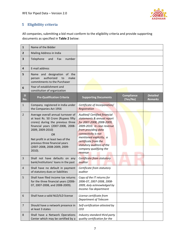

#### **5 Eligibility criteria**

All companies, submitting a bid must conform to the eligibility criteria and provide supporting documents as specified in **Table 2** below:

| $\mathbf{1}$   | Name of the Bidder                                                                                                                                                                                                                                                                                       |                                                                                                                                                                                                                                                                                          |                               |                                   |
|----------------|----------------------------------------------------------------------------------------------------------------------------------------------------------------------------------------------------------------------------------------------------------------------------------------------------------|------------------------------------------------------------------------------------------------------------------------------------------------------------------------------------------------------------------------------------------------------------------------------------------|-------------------------------|-----------------------------------|
| $\overline{2}$ | Mailing Address in India                                                                                                                                                                                                                                                                                 |                                                                                                                                                                                                                                                                                          |                               |                                   |
| 3              | Telephone<br>and<br>Fax<br>number                                                                                                                                                                                                                                                                        |                                                                                                                                                                                                                                                                                          |                               |                                   |
| 4              | E-mail address                                                                                                                                                                                                                                                                                           |                                                                                                                                                                                                                                                                                          |                               |                                   |
| 5              | Name and designation of the<br>authorized<br>make<br>to<br>person<br>commitments to the Purchaser                                                                                                                                                                                                        |                                                                                                                                                                                                                                                                                          |                               |                                   |
| 6              | Year of establishment and<br>constitution of organization                                                                                                                                                                                                                                                |                                                                                                                                                                                                                                                                                          |                               |                                   |
| SI<br>No.      | <b>Pre-Qualification Criteria</b>                                                                                                                                                                                                                                                                        | <b>Supporting Documents</b>                                                                                                                                                                                                                                                              | <b>Compliance</b><br>(Yes/No) | <b>Detailed</b><br><b>Remarks</b> |
| $\mathbf{1}$   | Company registered in India under<br>the Companies Act 1956                                                                                                                                                                                                                                              | Certificate of Incorporation/<br>Registration                                                                                                                                                                                                                                            |                               |                                   |
| $\overline{2}$ | Average overall annual turnover of<br>at least Rs. 50 Crore (Rupees fifty<br>crores) during the previous three<br>financial years (2007-2008, 2008-<br>2009, 2009-2010)<br><b>OR</b><br>Net profit in at least two of the<br>previous three financial years<br>(2007-2008, 2008-2009, 2009-<br>$2010$ ). | Audited/ Certified financial<br>statements & annual report<br>for 2007-2008, 2008-2009,<br>2009-2010. In case revenue<br>from providing data<br>connectivity is not<br>mentioned explicitly, a<br>certificate from the<br>statutory auditors of the<br>company qualifying the<br>revenue |                               |                                   |
| 3              | Shall not have defaults on any<br>bank/institutions' loans in the past                                                                                                                                                                                                                                   | Certificate from statutory<br>auditor                                                                                                                                                                                                                                                    |                               |                                   |
| $\overline{4}$ | Shall have no default in payment<br>of statutory dues or liabilities                                                                                                                                                                                                                                     | Certificate from statutory<br>auditor                                                                                                                                                                                                                                                    |                               |                                   |
| 5              | Shall have filed income tax returns<br>for the three financial years (2006-<br>07, 2007-2008, and 2008-2009).                                                                                                                                                                                            | Copy of the IT returns for<br>2006-07, 2007-2008, 2008-<br>2009, duly acknowledged by<br>Income-Tax department                                                                                                                                                                           |                               |                                   |
| 6              | Shall have a valid NLD/ILD license                                                                                                                                                                                                                                                                       | License certificate from<br>Department of Telecom                                                                                                                                                                                                                                        |                               |                                   |
| $\overline{7}$ | Should have a network presence in<br>at least 3 states                                                                                                                                                                                                                                                   | Self-certification attested by<br><b>CEO</b>                                                                                                                                                                                                                                             |                               |                                   |
| 8              | Shall have a Network Operations<br>Center which may be certified by a                                                                                                                                                                                                                                    | Industry standard third party<br>quality certification for the                                                                                                                                                                                                                           |                               |                                   |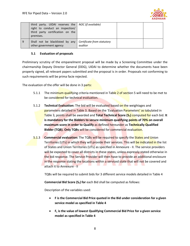

|   | third party. UIDAI reserves the   NOC (if available)<br>right to conduct an inspection/<br>third party certification on the<br>premises. |         |  |
|---|------------------------------------------------------------------------------------------------------------------------------------------|---------|--|
| 9 | Shall not be blacklisted by any   Certificate from statutory<br>other government agency                                                  | auditor |  |

#### <span id="page-7-0"></span>**5.1 Evaluation of proposals**

Preliminary scrutiny of the empanelment proposal will be made by a Screening Committee under the chairmanship Deputy Director General (DDG), UIDAI to determine whether the documents have been properly signed, all relevant papers submitted and the proposal is in order. Proposals not conforming to such requirements will be prima facie rejected.

The evaluation of the offer will be done in 3 parts:

- 5.1.1 The minimum qualifying criteria mentioned in Table 2 of section 5 will need to be met to be considered for technical evaluation.
- 5.1.2 **Technical Evaluation:** The bid will be evaluated based on the weightages and parameters detailed in Table 3. Based on the 'Evaluation Parameters' as tabulated in Table 3, points shall be awarded and **Total Technical Score (ST)** computed for each bid. **It is mandatory for the Bidders to secure minimum qualifying points of 70% on overall maximum score in order to Qualify** as defined hereunder as **Technically Qualified Bidder (TQB). Only TQBs** will be considered for commercial evaluation.
- 5.1.3 **Commercial evaluation:** The TQBs will be required to specify the States and Union Territories (UTs) in which they will provide their services. This will be indicated in the list of States and Union Territories (UTs) as specified in Annexure - II. The service providers will be expected to cover all districts in these states, unless expressly stated otherwise in the bid response. The Service Provider will then have to provide an additional enclosure in the response stating the locations within a serviced state that will not be covered and attach it to Annexure - II

TQBs will be required to submit bids for 3 different service models detailed in Table 4

**Commercial Bid Score (S<sub>F</sub>) for** each Bid shall be computed as follows:

Description of the variables used:

- **F is the Commercial Bid Price quoted in the Bid under consideration for a given service model as specified in Table 4**
- **F<sup>L</sup> is the value of lowest Qualifying Commercial Bid Price for a given service model as specified in Table 4**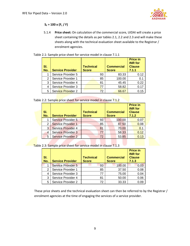

#### $S_F = 100 \times (F_L / F)$

5.1.4 **Price sheet:** On calculation of the commercial score, UIDAI will create a price sheet containing the details as per tables 2.1, 2.2 and 2.3 and will make these sheets along with the technical evaluation sheet available to the Registrar / enrolment agencies.

#### Table 2.1: Sample price sheet for service model in clause 7.1.1

| SI.<br>No. | <b>Service Provider</b> | <b>Technical</b><br><b>Score</b> | <b>Commercial</b><br><b>Score</b> | <b>Price in</b><br><b>INR</b> for<br><b>Clause</b><br>7.1.1 |
|------------|-------------------------|----------------------------------|-----------------------------------|-------------------------------------------------------------|
|            | Service Provider 5      | 93                               | 83.33                             | 0.12                                                        |
| 2          | Service Provider 1      | 85                               | 100.00                            | 0.1                                                         |
| 3          | Service Provider 4      | 81                               | 45.45                             | 0.22                                                        |
| 4          | Service Provider 3      | 77                               | 58.82                             | 0.17                                                        |
| 5          | Service Provider 2      | 72                               | 66.67                             | 0.15                                                        |

Table 2.2: Sample price sheet for service model in clause 7.1.2

| SI.<br>No. | <b>Service Provider</b>   | <b>Technical</b><br><b>Score</b> | <b>Commercial</b><br><b>Score</b> | <b>Price in</b><br><b>INR</b> for<br><b>Clause</b><br>7.1.2 |
|------------|---------------------------|----------------------------------|-----------------------------------|-------------------------------------------------------------|
|            | <b>Service Provider 5</b> | 93                               | 100.00                            | 0.07                                                        |
| 2          | <b>Service Provider 1</b> | 85                               | 87.50                             | 0.08                                                        |
| 3          | <b>Service Provider 4</b> | 81                               | 70.00                             | 0.1                                                         |
| 4          | <b>Service Provider 3</b> | 77                               | 58.33                             | 0.12                                                        |
| 5          | <b>Service Provider 2</b> | 72                               | 53.85                             | 0.13                                                        |

Table 2.3: Sample price sheet for service model in clause 7.1.3

| SI.<br>No. | <b>Service Provider</b>   | <b>Technical</b><br><b>Score</b> | <b>Commercial</b><br><b>Score</b> | <b>Price in</b><br><b>INR</b> for<br><b>Clause</b><br>7.1.3 |
|------------|---------------------------|----------------------------------|-----------------------------------|-------------------------------------------------------------|
|            | <b>Service Provider 5</b> | 93                               | 100.00                            | 0.03                                                        |
| 2          | Service Provider 1        | 85                               | 37.50                             | 0.08                                                        |
| 4          | Service Provider 3        | 77                               | 75.00                             | 0.04                                                        |
| 3          | Service Provider 4        | 81                               | 50.00                             | 0.06                                                        |
| 5          | Service Provider 2        | 72                               | 33.33                             | 0.09                                                        |

These price sheets and the technical evaluation sheet can then be referred to by the Registrar / enrolment agencies at the time of engaging the services of a service provider.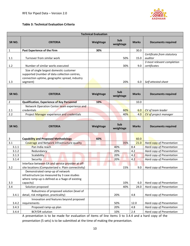

#### **Table 3: Technical Evaluation Criteria**

|                    |                                                                                                                                                         | <b>Technical Evaluation</b> |                  |              |                                            |
|--------------------|---------------------------------------------------------------------------------------------------------------------------------------------------------|-----------------------------|------------------|--------------|--------------------------------------------|
| SR <sub>NO</sub> . | <b>CRITERIA</b>                                                                                                                                         | Weightage                   | Sub<br>weightage | <b>Marks</b> | <b>Documents required</b>                  |
| $\mathbf{1}$       | Past Experience of the Firm                                                                                                                             | 30%                         |                  | 30.0         |                                            |
| 1.1                | Turnover from similar work                                                                                                                              |                             | 50%              | 15.0         | Certificate from statutory<br>auditor      |
| 1.2                | Number of similar works executed                                                                                                                        |                             | 30%              | 9.0          | 3 most relevant completion<br>certificates |
| 1.3                | Size of single largest domestic customer<br>supported (number of data collection centres,<br>connection uptime, geographic spread, industry<br>segment) |                             | 20%              | 6.0          | Self attested sheet                        |
|                    |                                                                                                                                                         |                             |                  |              |                                            |
| SR <sub>NO</sub> . | <b>CRITERIA</b>                                                                                                                                         | Weightage                   | Sub<br>weightage | <b>Marks</b> | <b>Documents required</b>                  |
| $\overline{2}$     | <b>Qualification, Experience of Key Personnel</b>                                                                                                       | 10%                         |                  | 10.0         |                                            |
| 2.1                | Network Operation Center team experience and<br>credentials                                                                                             |                             | 60%              | 6.0          | CV of team leader                          |
| 2.2                | Project Manager experience and credentials                                                                                                              |                             | 40%              | 4.0          | CV of project manager                      |
|                    |                                                                                                                                                         |                             |                  |              |                                            |
| SR <sub>NO</sub> . | <b>CRITERIA</b>                                                                                                                                         | Weightage                   | Sub<br>weightage | <b>Marks</b> | <b>Documents required</b>                  |
| 3                  | <b>Capability and Proposed Methodology</b>                                                                                                              | 60%                         |                  | 60.0         |                                            |
| 3.1                | Coverage and Network infrastructure quality                                                                                                             |                             | 35%              | 21.0         | <b>Hard copy of Presentation</b>           |
| 3.1.1              | Pan India reach                                                                                                                                         |                             | 40%              | 8.4          | <b>Hard copy of Presentation</b>           |
| 3.1.2              | Redundancy                                                                                                                                              |                             | 20%              | 4.2          | Hard copy of Presentation                  |
| 3.1.3              | Scalability                                                                                                                                             |                             | 20%              | 4.2          | Hard copy of Presentation                  |
| 3.1.4              | Security                                                                                                                                                |                             | 20%              | 4.2          | Hard copy of Presentation                  |
| 3.2                | Interface between EA and service provider at off-<br>site locations (Computerized v. Plain connectivity)                                                |                             | 15%              | 9.0          | Hard copy of Presentation                  |
|                    | Demonstrated ramp-up of network<br>infrastructure (as measured by 3 case studies<br>where ramp-up is defined as a %age of existing                      |                             |                  |              |                                            |
| 3.3                | capacity)                                                                                                                                               |                             | 10%              | 6.0          | Hard copy of Presentation                  |
| 3.4                | Solution proposed                                                                                                                                       |                             | 40%              | 24.0         | Hard copy of Presentation                  |
| 3.4.1              | Robustness of proposed solution (level of<br>detail, risk mitigation, practicality)                                                                     |                             | 20%              | 4.8          | Hard copy of Presentation                  |
| 3.4.2              | Innovation and features beyond proposed<br>requirements                                                                                                 |                             | 50%              | 12.0         | Hard copy of Presentation                  |
| 3.4.3              |                                                                                                                                                         |                             |                  |              |                                            |
|                    | Proposed ramp-up plan                                                                                                                                   |                             | 20%              | 4.8          | Hard copy of Presentation                  |

A presentation is to be made for evaluation of items of line items 3 to 3.4.4 and a hard copy of the presentation (5 sets) is to be submitted at the time of making the presentation.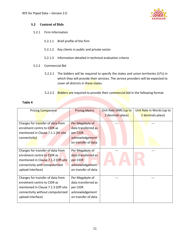

#### <span id="page-10-0"></span>**5.2 Content of Bids**

- 5.2.1 Firm Information
	- 5.2.1.1 Brief profile of the firm
	- 5.2.1.2 Key clients in public and private sector
	- 5.2.1.3 Information detailed in technical evaluation criteria
- 5.2.2 Commercial Bid
	- 5.2.2.1 The bidders will be required to specify the states and union territories (UTs) in which they will provide their services. The service providers will be expected to cover all districts in these states.
	- 5.2.2.2 Bidders are required to provide their commercial bid in the following format:

#### **Table 4**

| <b>Pricing Component</b>            | <b>Pricing Metric</b> | Unit Rate (INR) (up to | Unit Rate in Words (up to |
|-------------------------------------|-----------------------|------------------------|---------------------------|
|                                     |                       | 2 decimals place)      | 2 decimals place)         |
|                                     |                       |                        |                           |
| Charges for transfer of data from   | Per Megabyte of       |                        |                           |
| enrolment centre to CIDR as         | data transferred as   |                        |                           |
| mentioned in Clause 7.1.1 (At-site  | per CIDR              |                        |                           |
| connectivity)                       | acknowledgement       |                        |                           |
|                                     | on transfer of data   |                        |                           |
|                                     |                       |                        |                           |
| Charges for transfer of data from   | Per Megabyte of       |                        |                           |
| enrolment centre to CIDR as         | data transferred as   |                        |                           |
| mentioned in Clause 7.1.2 (Off-site | per CIDR              |                        |                           |
| connectivity with computerized      | acknowledgement       |                        |                           |
| upload interface)                   | on transfer of data   |                        |                           |
|                                     |                       |                        |                           |
| Charges for transfer of data from   | Per Megabyte of       |                        |                           |
| enrolment centre to CIDR as         | data transferred as   |                        |                           |
| mentioned in Clause 7.1.3 (Off-site | per CIDR              |                        |                           |
| connectivity without computerized   | acknowledgement       |                        |                           |
| upload interface)                   | on transfer of data   |                        |                           |
|                                     |                       |                        |                           |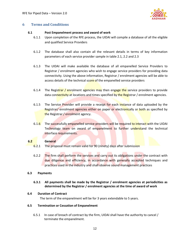

#### <span id="page-11-0"></span>**6 Terms and Conditions**

#### **6.1 Post Empanelment process and award of work**

- <span id="page-11-1"></span>6.1.1 Upon completion of the RFE process, the UIDAI will compile a database of all the eligible and qualified Service Providers
- 6.1.2 The database shall also contain all the relevant details in terms of key information parameters of each service provider sample in table 2.1, 2.2 and 2.3
- 6.1.3 The UIDAI will make available the database of all empanelled Service Providers to Registrar / enrolment agencies who wish to engage service providers for providing data connectivity. Using the above information, Registrar / enrolment agencies will be able to access details of the technical score of the empanelled service providers
- 6.1.4 The Registrar / enrolment agencies may then engage the service providers to provide data connectivity at locations and times specified by the Registrar / enrolment agencies.
- 6.1.5 The Service Provider will provide a receipt for each instance of data uploaded by the Registrar/ enrolment agencies either on paper or electronically or both as specified by the Registrar / enrolment agency.
- 6.1.6 The successfully empanelled service providers will be required to interact with the UIDAI Technology team on award of empanelment to further understand the technical interface requirements.

#### **6.2 General**

- <span id="page-11-2"></span>6.2.1 The proposal must remain valid for 90 (ninety) days after submission
- 6.2.2 The firm shall perform the services and carry out its obligations under the contract with due diligence and efficiency, in accordance with generally accepted techniques and practices used in the industry and shall observe sound management practices

#### <span id="page-11-3"></span>**6.3 Payments**

#### **6.3.1 All payments shall be made by the Registrar / enrolment agencies at periodicities as determined by the Registrar / enrolment agencies at the time of award of work**

#### <span id="page-11-4"></span>**6.4 Duration of Contract**

The term of the empanelment will be for 3 years extendable to 5 years.

#### <span id="page-11-5"></span>**6.5 Termination or Cessation of Empanelment**

6.5.1 In case of breach of contract by the firm, UIDAI shall have the authority to cancel / terminate the empanelment.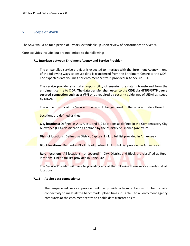#### <span id="page-12-0"></span>**7 Scope of Work**

The SoW would be for a period of 3 years, extendable up upon review of performance to 5 years.

<span id="page-12-1"></span>Core activities include, but are not limited to the following:

#### **7.1 Interface between Enrolment Agency and Service Provider**

The empanelled service provider is expected to interface with the Enrolment Agency in one of the following ways to ensure data is transferred from the Enrolment Centre to the CIDR. The expected data volumes per enrolment centre is provided in Annexure – III.

The service provider shall take responsibility of ensuring the data is transferred from the enrolment centre to CIDR**. The data transfer shall occur to the CIDR via HTTPS/SFTP over a secured connection such as a VPN** or as required by **security guidelines of UIDAI** as issued by UIDAI.

The scope of work of the Service Provider will change based on the service model offered.

Locations are defined as thus:

**City locations:** Defined as A-1, A, B-1 and B-2 Locations as defined in the Compensatory City Allowance (CCA) classification as defined by the Ministry of Finance (Annexure – I)

**District locations:** Defined as District Capitals. Link to full list provided in Annexure - II

**Block locations:** Defined as Block Headquarters. Link to full list provided in Annexure - II

**Rural locations:** All locations not covered in City, District and Block are classified as Rural locations. Link to full list provided in Annexure - II

The Service Provider will have to providing any of the following three service models at all locations.

#### **7.1.1 At-site data connectivity:**

The empanelled service provider will be provide adequate bandwidth for at-site connectivity to meet all the benchmark upload times in Table 5 to all enrolment agency computers at the enrolment centre to enable data transfer at site.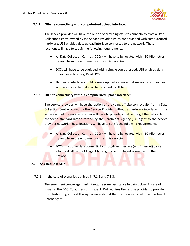

#### **7.1.2 Off-site connectivity with computerized upload interface:**

The service provider will have the option of providing off-site connectivity from a Data Collection Centre owned by the Service Provider which are equipped with computerized hardware, USB enabled data upload interface connected to the network. These locations will have to satisfy the following requirements:

- All Data Collection Centres (DCCs) will have to be located within **50 Kilometres**  by road from the enrolment centres it is servicing
- DCCs will have to be equipped with a simple computerized, USB enabled data upload interface (e.g. Kiosk, PC)
- Hardware interface should house a upload software that makes data upload as simple as possible that shall be provided by UIDAI.

#### **7.1.3 Off-site connectivity without computerized upload interface**:

The service provider will have the option of providing off-site connectivity from a Data Collection Centre owned by the Service Provider without a hardware interface. In this service model the service provider will have to provide a method (e.g. Ethernet cable) to connect a standard laptop carried by the Enrolment Agency (EA) agent to the service provider network. These locations will have to satisfy the following requirements:

- All Data Collection Centres (DCCs) will have to be located within **50 Kilometres**  by road from the enrolment centres it is servicing
- DCCs must offer data connectivity through an interface (e.g. Ethernet) cable which will allow the EA agent to plug in a laptop to get connected to the network

#### <span id="page-13-0"></span>**7.2 Assisted Last Mile**

#### 7.2.1 In the case of scenarios outlined in 7.1.2 and 7.1.3:

The enrolment centre agent might require some assistance in data upload in case of issues at the DCC. To address this issue, UIDAI requires the service provider to provide troubleshooting support through on-site staff at the DCC be able to help the Enrolment Centre agent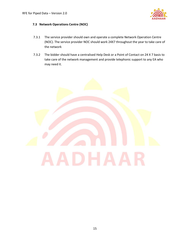

#### <span id="page-14-0"></span>**7.3 Network Operations Centre (NOC)**

- 7.3.1 The service provider should own and operate a complete Network Operation Centre (NOC). The service provider NOC should work 24X7 throughout the year to take care of the network
- 7.3.2 The bidder should have a centralised Help Desk or a Point of Contact on 24 X 7 basis to take care of the network management and provide telephonic support to any EA who may need it.

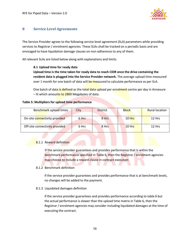

#### <span id="page-15-0"></span>**8 Service Level Agreements**

The Service Provider agrees to the following service level agreement (SLA) parameters while providing services to Registrar / enrolment agencies. These SLAs shall be tracked on a periodic basis and are envisaged to have liquidation damage clauses on non-adherence to any of them.

<span id="page-15-1"></span>All relevant SLAs are listed below along with explanations and limits.

#### **8.1 Upload time for ready data**

**Upload time is the time taken for ready data to reach CIDR once the drive containing the resident data is plugged into the Service Provider network.** The average upload time measured over 1 month for one batch of data will be measured to calculate performance as per SLA.

One batch of data is defined as the total data upload per enrolment centre per day in Annexure  $-$  III which amounts to 2800 Megabytes of data.

#### **Table 5: Multipliers for upload time performance**

| Benchmark upload times         | City  | <b>District</b> | <b>Block</b> | <b>Rural location</b> |
|--------------------------------|-------|-----------------|--------------|-----------------------|
| On-site connectivity provided  | 6 Hrs | 8 Hrs           | $10$ Hrs     | $12$ Hrs              |
| Off-site connectivity provided | 6 Hrs | 8 Hrs           | $10$ Hrs     | 12 Hrs                |

#### 8.1.1 Reward definition

If the service provider guarantees and provides performance that is within the benchmark performance specified in Table 6, then the Registrar / enrolment agencies may choose to include a reward clause in contract execution

#### 8.1.2 Benchmark definition

If the service provider guarantees and provides performance that is at benchmark levels, no changes will be added to the payment.

#### 8.1.3 Liquidated damages definition

If the service provider guarantees and provides performance according to table 6 but the actual performance is slower than the upload time matrix in Table 6, then the Registrar / enrolment agencies may consider including liquidated damages at the time of executing the contract.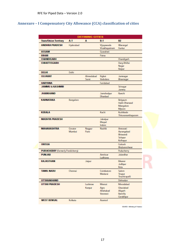### <span id="page-16-0"></span>**Annexure – I Compensatory City Allowance (CCA) classification of cities**

|                                          |                   | <b>DEFINING CITIES</b> |                                         |                                                           |
|------------------------------------------|-------------------|------------------------|-----------------------------------------|-----------------------------------------------------------|
| <b>State/Union Territory</b>             | $A-1$             | A                      | $B-1$                                   | B2                                                        |
| ANDHRA PRADESH                           | Hyderabad         |                        | Vijayawada<br>Visakhapatnam             | Warangal<br>Guntur                                        |
| <b>ASSAM</b>                             |                   |                        | Guwahati                                |                                                           |
| <b>BIHAR</b>                             |                   |                        | Patria                                  |                                                           |
| <b>CHANDIGARH</b>                        |                   |                        |                                         | Chandigarh                                                |
| <b>CHHATTISGARH</b>                      |                   |                        |                                         | Durg-Bhillai<br>Nagar<br>Raipur                           |
| <b>DELHI</b>                             | Delhi             |                        |                                         |                                                           |
| <b>GUJARAT</b>                           |                   | Ahmedabad<br>Surat     | Rajkot<br>Vadodara                      | Jarmagar<br>Bhavreigar                                    |
| <b>HARYANA</b>                           |                   |                        | Faridabad                               |                                                           |
| <b>JAMMU &amp; KASHMIR</b>               |                   |                        |                                         | Srinagar<br>Jammu                                         |
| <b>JHARKHAND</b>                         |                   |                        | Jamshedpur<br>Dhanbad                   | Ranchi                                                    |
| <b>KARNATAKA</b>                         | Bangalore         |                        |                                         | Belgaum<br>Hubli-Dharwad<br>Mangalore<br>Mysore           |
| <b>KERALA</b>                            |                   |                        | Kochi                                   | Kozhikode<br>Thiruvarianthapuram                          |
| <b>MADHYA PRADESH</b>                    |                   |                        | Jabalpur<br>Bhopal<br>Indore            |                                                           |
| <b>MAHARASHTRA</b>                       | Greater<br>Mumbai | Nagpur<br>Pune         | Nashik                                  | Armavati<br>Aurangabad<br>Bhiwandi<br>Solapur<br>Kolhapur |
| <b>ORISSA</b>                            |                   |                        |                                         | Cuttack<br>Bhubaneshwar                                   |
| <b>PUDUCHERRY</b> (formerly Pondicherry) |                   |                        |                                         | Puducherry                                                |
| <b>PUNJAB</b>                            |                   |                        | Amritsar<br>Ludhiana                    | <b>Jalandhar</b>                                          |
| <b>RAJASTHAN</b>                         |                   | Jaipur                 |                                         | Bikaner<br>Jodhpur<br>Kota                                |
| <b>TAMIL NADU</b>                        | Chennai           |                        | Coimbatore<br>Madurai                   | Salem<br>Trupur<br>Truchirapalli                          |
| UTTARAKHAND                              |                   |                        |                                         | Dehradun                                                  |
| <b>UTTAR PRADESH</b>                     |                   | Lucknow<br>Karpur      | Meerut<br>Agra<br>Allahabad<br>Varanasi | Moradabad<br>Ghaziabad<br>Aligarh<br><b>Bareilly</b>      |
| <b>WEST BENGAL</b>                       | Kolkata           |                        | Asarcol                                 | Gorakhpur                                                 |

SOURCE: Ministry of France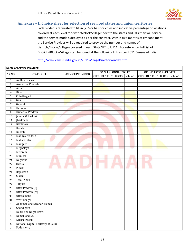

#### <span id="page-17-0"></span>**Annexure – II Choice sheet for selection of serviced states and union territories**

Each bidder is requested to fill in (YES or NO) for cities and indicative percentage of locations covered at each level for district/block/village; next to the states and UTs they will service and the service models deployed as per the contract. Within two months of empanelment, the Service Provider will be required to provide the number and names of districts/blocks/villages covered in each State/UT to UIDAI. For reference, full list of Districts/Blocks/Villages can be found at the following link as per 2011 Census of India.

<http://www.censusindia.gov.in/2011-VillageDirectory/index.html>

| <b>Name of Service Provider:</b> |                                     |                         |                             |                             |  |     |                       |                             |  |  |
|----------------------------------|-------------------------------------|-------------------------|-----------------------------|-----------------------------|--|-----|-----------------------|-----------------------------|--|--|
| SR <sub>NO</sub>                 | <b>STATE / UT</b>                   | <b>SERVICE PROVIDED</b> | <b>ON SITE CONNECTIVITY</b> |                             |  |     | OFF SITE CONNECTIVITY |                             |  |  |
|                                  |                                     |                         |                             | CITY DISTRICT BLOCK VILLAGE |  |     |                       | CITY DISTRICT BLOCK VILLAGE |  |  |
| $\mathbf{1}$                     | Andhra Pradesh                      |                         |                             |                             |  |     |                       |                             |  |  |
| $\overline{c}$                   | Arunachal Pradesh                   |                         |                             |                             |  |     |                       |                             |  |  |
| 3                                | Assam                               |                         |                             |                             |  |     |                       |                             |  |  |
| $\overline{4}$                   | <b>Bihar</b>                        |                         |                             |                             |  |     |                       |                             |  |  |
| $\overline{5}$                   | Chhattisgarh                        |                         |                             |                             |  |     |                       |                             |  |  |
| 6                                | Goa                                 |                         |                             |                             |  |     |                       |                             |  |  |
| $\overline{7}$                   | Gujarat                             |                         |                             |                             |  |     |                       |                             |  |  |
| $\, 8$                           | Haryana                             |                         |                             |                             |  |     |                       |                             |  |  |
| $\overline{9}$                   | Himachal Pradesh                    |                         |                             |                             |  |     |                       |                             |  |  |
| 10                               | Jammu & Kashmir                     |                         |                             |                             |  |     |                       |                             |  |  |
| 11                               | <b>Iharkhand</b>                    |                         |                             |                             |  |     |                       |                             |  |  |
| 12                               | Karnataka                           |                         |                             |                             |  |     |                       |                             |  |  |
| 13                               | Kerala                              |                         |                             |                             |  |     |                       |                             |  |  |
| 14                               | Kolkata                             |                         |                             |                             |  |     |                       |                             |  |  |
| 15                               | Madhya Pradesh                      |                         |                             |                             |  |     |                       |                             |  |  |
| 16                               | Maharashtra                         |                         |                             |                             |  |     |                       |                             |  |  |
| 17                               | Manipur                             |                         |                             |                             |  |     |                       |                             |  |  |
| 18                               | Meghalaya                           |                         |                             |                             |  |     |                       |                             |  |  |
| 19                               | Mizoram                             |                         |                             |                             |  |     |                       |                             |  |  |
| 20                               | Mumbai                              |                         |                             |                             |  |     |                       |                             |  |  |
| 21                               | Nagaland                            |                         |                             |                             |  |     |                       |                             |  |  |
| 22                               | Orissa                              |                         |                             |                             |  |     |                       |                             |  |  |
| 23                               | Punjab<br>e and                     | ш<br>w                  |                             | a a                         |  | AU. |                       | V.                          |  |  |
| 24                               | Rajasthan                           |                         |                             |                             |  |     |                       |                             |  |  |
| 25                               | Sikkim                              |                         |                             |                             |  |     |                       |                             |  |  |
| 26                               | Tamil Nadu                          |                         |                             |                             |  |     |                       |                             |  |  |
| 27                               | Tripura                             |                         |                             |                             |  |     |                       |                             |  |  |
| 28                               | Uttar Pradesh (E)                   |                         |                             |                             |  |     |                       |                             |  |  |
| 29                               | Uttar Pradesh (W)                   |                         |                             |                             |  |     |                       |                             |  |  |
| 30                               | Uttarakhand                         |                         |                             |                             |  |     |                       |                             |  |  |
| 31                               | <b>West Bengal</b>                  |                         |                             |                             |  |     |                       |                             |  |  |
| $\mathbf{1}$                     | Andaman and Nicobar Islands         |                         |                             |                             |  |     |                       |                             |  |  |
| $\overline{c}$                   | Chandigarh                          |                         |                             |                             |  |     |                       |                             |  |  |
| $\overline{3}$                   | Dadra and Nagar Haveli              |                         |                             |                             |  |     |                       |                             |  |  |
| $\overline{4}$                   | Daman and Diu                       |                         |                             |                             |  |     |                       |                             |  |  |
| 5                                | Lakshadweep                         |                         |                             |                             |  |     |                       |                             |  |  |
| $\boldsymbol{6}$                 | National Capital Territory of Delhi |                         |                             |                             |  |     |                       |                             |  |  |
| $\overline{7}$                   | Puducherry                          |                         |                             |                             |  |     |                       |                             |  |  |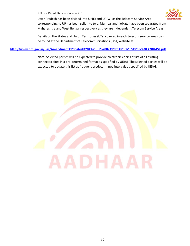#### RFE for Piped Data – Version 2.0



Uttar Pradesh has been divided into UP(E) and UP(W) as the Telecom Service Area corresponding to UP has been split into two. Mumbai and Kolkata have been separated from Maharashtra and West Bengal respectively as they are independent Telecom Service Areas.

Details on the States and Union Territories (UTs) covered in each telecom service areas can be found at the Department of Telecommunications (DoT) website at

#### **<http://www.dot.gov.in/uas/Amendment%20dated%204%20Jul%2007%20to%20CMTS%20&%20%20UASL.pdf>**

**Note:** Selected parties will be expected to provide electronic copies of list of all existing connected sites in a pre-determined format as specified by UIDAI. The selected parties will be expected to update this list at frequent predetermined intervals as specified by UIDAI.